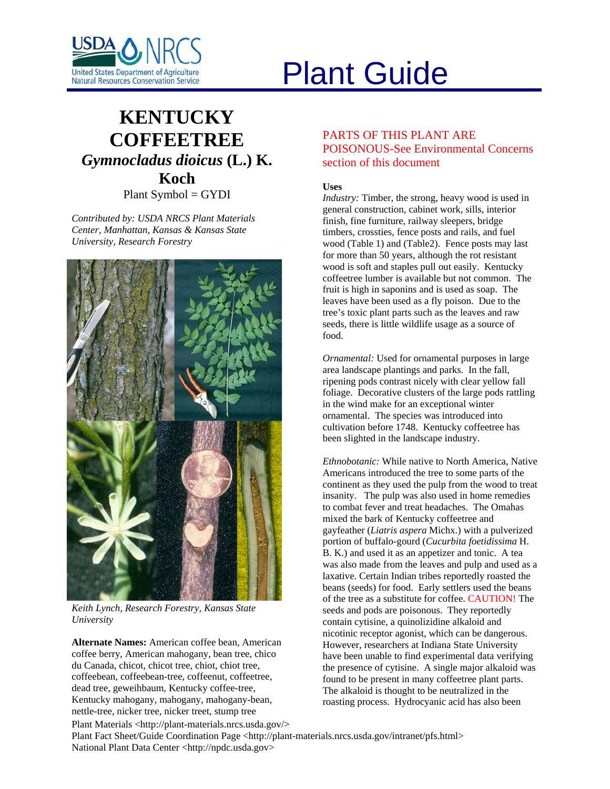

# Plant Guide

# **KENTUCKY COFFEETREE** *Gymnocladus dioicus* **(L.) K. Koch**

Plant Symbol = GYDI

*Contributed by: USDA NRCS Plant Materials Center, Manhattan, Kansas & Kansas State University, Research Forestry* 



*Keith Lynch, Research Forestry, Kansas State University* 

**Alternate Names:** American coffee bean, American coffee berry, American mahogany, bean tree, chico du Canada, chicot, chicot tree, chiot, chiot tree, coffeebean, coffeebean-tree, coffeenut, coffeetree, dead tree, geweihbaum, Kentucky coffee-tree, Kentucky mahogany, mahogany, mahogany-bean, nettle-tree, nicker tree, nicker treet, stump tree

PARTS OF THIS PLANT ARE POISONOUS-See Environmental Concerns section of this document

# **Uses**

*Industry:* Timber, the strong, heavy wood is used in general construction, cabinet work, sills, interior finish, fine furniture, railway sleepers, bridge timbers, crossties, fence posts and rails, and fuel wood (Table 1) and (Table2). Fence posts may last for more than 50 years, although the rot resistant wood is soft and staples pull out easily. Kentucky coffeetree lumber is available but not common. The fruit is high in saponins and is used as soap. The leaves have been used as a fly poison. Due to the tree's toxic plant parts such as the leaves and raw seeds, there is little wildlife usage as a source of food.

*Ornamental:* Used for ornamental purposes in large area landscape plantings and parks. In the fall, ripening pods contrast nicely with clear yellow fall foliage. Decorative clusters of the large pods rattling in the wind make for an exceptional winter ornamental. The species was introduced into cultivation before 1748. Kentucky coffeetree has been slighted in the landscape industry.

*Ethnobotanic:* While native to North America, Native Americans introduced the tree to some parts of the continent as they used the pulp from the wood to treat insanity. The pulp was also used in home remedies to combat fever and treat headaches. The Omahas mixed the bark of Kentucky coffeetree and gayfeather (*Liatris aspera* Michx.) with a pulverized portion of buffalo-gourd (*Cucurbita foetidissima* H. B. K.) and used it as an appetizer and tonic. A tea was also made from the leaves and pulp and used as a laxative. Certain Indian tribes reportedly roasted the beans (seeds) for food. Early settlers used the beans of the tree as a substitute for coffee. CAUTION! The seeds and pods are poisonous. They reportedly contain cytisine, a quinolizidine alkaloid and nicotinic receptor agonist, which can be dangerous. However, researchers at Indiana State University have been unable to find experimental data verifying the presence of cytisine. A single major alkaloid was found to be present in many coffeetree plant parts. The alkaloid is thought to be neutralized in the roasting process. Hydrocyanic acid has also been

Plant Materials <http://plant-materials.nrcs.usda.gov/> Plant Fact Sheet/Guide Coordination Page <http://plant-materials.nrcs.usda.gov/intranet/pfs.html> National Plant Data Center <http://npdc.usda.gov>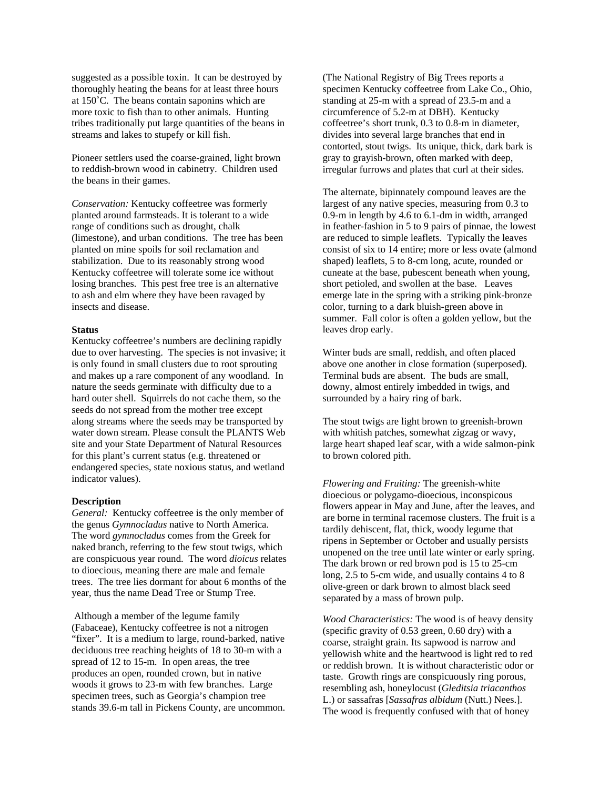suggested as a possible toxin. It can be destroyed by thoroughly heating the beans for at least three hours at 150˚C. The beans contain saponins which are more toxic to fish than to other animals. Hunting tribes traditionally put large quantities of the beans in streams and lakes to stupefy or kill fish.

Pioneer settlers used the coarse-grained, light brown to reddish-brown wood in cabinetry. Children used the beans in their games.

*Conservation:* Kentucky coffeetree was formerly planted around farmsteads. It is tolerant to a wide range of conditions such as drought, chalk (limestone), and urban conditions. The tree has been planted on mine spoils for soil reclamation and stabilization. Due to its reasonably strong wood Kentucky coffeetree will tolerate some ice without losing branches. This pest free tree is an alternative to ash and elm where they have been ravaged by insects and disease.

#### **Status**

Kentucky coffeetree's numbers are declining rapidly due to over harvesting.The species is not invasive; it is only found in small clusters due to root sprouting and makes up a rare component of any woodland. In nature the seeds germinate with difficulty due to a hard outer shell. Squirrels do not cache them, so the seeds do not spread from the mother tree except along streams where the seeds may be transported by water down stream. Please consult the PLANTS Web site and your State Department of Natural Resources for this plant's current status (e.g. threatened or endangered species, state noxious status, and wetland indicator values).

#### **Description**

*General:* Kentucky coffeetree is the only member of the genus *Gymnocladus* native to North America. The word *gymnocladus* comes from the Greek for naked branch, referring to the few stout twigs, which are conspicuous year round. The word *dioicus* relates to dioecious, meaning there are male and female trees. The tree lies dormant for about 6 months of the year, thus the name Dead Tree or Stump Tree.

 Although a member of the legume family (Fabaceae), Kentucky coffeetree is not a nitrogen "fixer". It is a medium to large, round-barked, native deciduous tree reaching heights of 18 to 30-m with a spread of 12 to 15-m. In open areas, the tree produces an open, rounded crown, but in native woods it grows to 23-m with few branches. Large specimen trees, such as Georgia's champion tree stands 39.6-m tall in Pickens County, are uncommon. (The National Registry of Big Trees reports a specimen Kentucky coffeetree from Lake Co., Ohio, standing at 25-m with a spread of 23.5-m and a circumference of 5.2-m at DBH). Kentucky coffeetree's short trunk, 0.3 to 0.8-m in diameter, divides into several large branches that end in contorted, stout twigs. Its unique, thick, dark bark is gray to grayish-brown, often marked with deep, irregular furrows and plates that curl at their sides.

The alternate, bipinnately compound leaves are the largest of any native species, measuring from 0.3 to 0.9-m in length by 4.6 to 6.1-dm in width, arranged in feather-fashion in 5 to 9 pairs of pinnae, the lowest are reduced to simple leaflets. Typically the leaves consist of six to 14 entire; more or less ovate (almond shaped) leaflets, 5 to 8-cm long, acute, rounded or cuneate at the base, pubescent beneath when young, short petioled, and swollen at the base. Leaves emerge late in the spring with a striking pink-bronze color, turning to a dark bluish-green above in summer. Fall color is often a golden yellow, but the leaves drop early.

Winter buds are small, reddish, and often placed above one another in close formation (superposed). Terminal buds are absent. The buds are small, downy, almost entirely imbedded in twigs, and surrounded by a hairy ring of bark.

The stout twigs are light brown to greenish-brown with whitish patches, somewhat zigzag or wavy, large heart shaped leaf scar, with a wide salmon-pink to brown colored pith.

*Flowering and Fruiting:* The greenish-white dioecious or polygamo-dioecious, inconspicous flowers appear in May and June, after the leaves, and are borne in terminal racemose clusters. The fruit is a tardily dehiscent, flat, thick, woody legume that ripens in September or October and usually persists unopened on the tree until late winter or early spring. The dark brown or red brown pod is 15 to 25-cm long, 2.5 to 5-cm wide, and usually contains 4 to 8 olive-green or dark brown to almost black seed separated by a mass of brown pulp.

*Wood Characteristics:* The wood is of heavy density (specific gravity of 0.53 green, 0.60 dry) with a coarse, straight grain. Its sapwood is narrow and yellowish white and the heartwood is light red to red or reddish brown. It is without characteristic odor or taste. Growth rings are conspicuously ring porous, resembling ash, honeylocust (*Gleditsia triacanthos* L.) or sassafras [*Sassafras albidum* (Nutt.) Nees.]. The wood is frequently confused with that of honey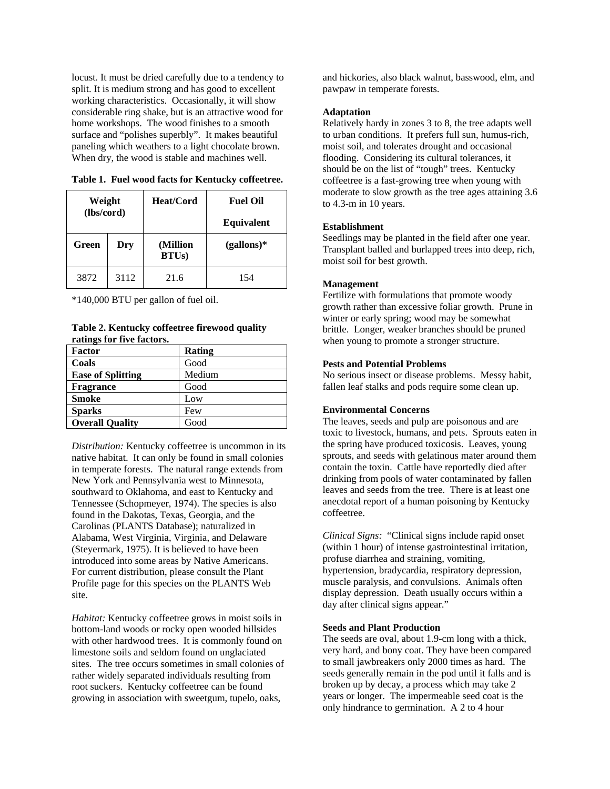locust. It must be dried carefully due to a tendency to split. It is medium strong and has good to excellent working characteristics. Occasionally, it will show considerable ring shake, but is an attractive wood for home workshops. The wood finishes to a smooth surface and "polishes superbly". It makes beautiful paneling which weathers to a light chocolate brown. When dry, the wood is stable and machines well.

**Table 1. Fuel wood facts for Kentucky coffeetree.** 

| Weight<br>(lbs/cord) |      | Heat/Cord                 | <b>Fuel Oil</b><br><b>Equivalent</b> |
|----------------------|------|---------------------------|--------------------------------------|
| Green                | Dry  | (Million<br><b>BTUs</b> ) | $(gallons)*$                         |
| 3872                 | 3112 | 21.6                      | 154                                  |

\*140,000 BTU per gallon of fuel oil.

**Table 2. Kentucky coffeetree firewood quality ratings for five factors.** 

| Factor                   | Rating |
|--------------------------|--------|
| Coals                    | Good   |
| <b>Ease of Splitting</b> | Medium |
| <b>Fragrance</b>         | Good   |
| <b>Smoke</b>             | Low    |
| <b>Sparks</b>            | Few    |
| <b>Overall Quality</b>   | Good   |

*Distribution:* Kentucky coffeetree is uncommon in its native habitat. It can only be found in small colonies in temperate forests. The natural range extends from New York and Pennsylvania west to Minnesota, southward to Oklahoma, and east to Kentucky and Tennessee (Schopmeyer, 1974). The species is also found in the Dakotas, Texas, Georgia, and the Carolinas (PLANTS Database); naturalized in Alabama, West Virginia, Virginia, and Delaware (Steyermark, 1975). It is believed to have been introduced into some areas by Native Americans. For current distribution, please consult the Plant Profile page for this species on the PLANTS Web site.

*Habitat:* Kentucky coffeetree grows in moist soils in bottom-land woods or rocky open wooded hillsides with other hardwood trees. It is commonly found on limestone soils and seldom found on unglaciated sites. The tree occurs sometimes in small colonies of rather widely separated individuals resulting from root suckers. Kentucky coffeetree can be found growing in association with sweetgum, tupelo, oaks,

and hickories, also black walnut, basswood, elm, and pawpaw in temperate forests.

## **Adaptation**

Relatively hardy in zones 3 to 8, the tree adapts well to urban conditions. It prefers full sun, humus-rich, moist soil, and tolerates drought and occasional flooding. Considering its cultural tolerances, it should be on the list of "tough" trees. Kentucky coffeetree is a fast-growing tree when young with moderate to slow growth as the tree ages attaining 3.6 to 4.3-m in 10 years.

# **Establishment**

Seedlings may be planted in the field after one year. Transplant balled and burlapped trees into deep, rich, moist soil for best growth.

# **Management**

Fertilize with formulations that promote woody growth rather than excessive foliar growth. Prune in winter or early spring; wood may be somewhat brittle. Longer, weaker branches should be pruned when young to promote a stronger structure.

# **Pests and Potential Problems**

No serious insect or disease problems. Messy habit, fallen leaf stalks and pods require some clean up.

# **Environmental Concerns**

The leaves, seeds and pulp are poisonous and are toxic to livestock, humans, and pets. Sprouts eaten in the spring have produced toxicosis. Leaves, young sprouts, and seeds with gelatinous mater around them contain the toxin. Cattle have reportedly died after drinking from pools of water contaminated by fallen leaves and seeds from the tree. There is at least one anecdotal report of a human poisoning by Kentucky coffeetree.

*Clinical Signs:* "Clinical signs include rapid onset (within 1 hour) of intense gastrointestinal irritation, profuse diarrhea and straining, vomiting, hypertension, bradycardia, respiratory depression, muscle paralysis, and convulsions. Animals often display depression. Death usually occurs within a day after clinical signs appear."

# **Seeds and Plant Production**

The seeds are oval, about 1.9-cm long with a thick, very hard, and bony coat. They have been compared to small jawbreakers only 2000 times as hard. The seeds generally remain in the pod until it falls and is broken up by decay, a process which may take 2 years or longer. The impermeable seed coat is the only hindrance to germination. A 2 to 4 hour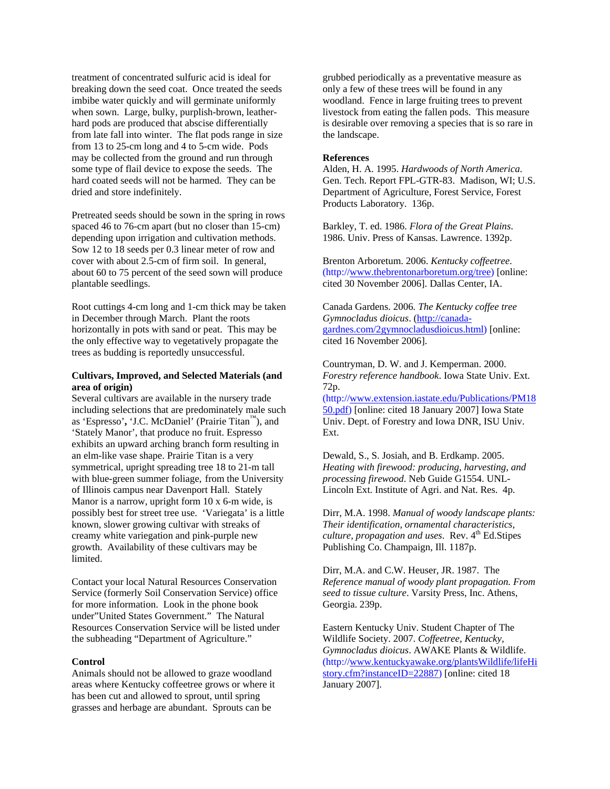treatment of concentrated sulfuric acid is ideal for breaking down the seed coat. Once treated the seeds imbibe water quickly and will germinate uniformly when sown. Large, bulky, purplish-brown, leatherhard pods are produced that abscise differentially from late fall into winter. The flat pods range in size from 13 to 25-cm long and 4 to 5-cm wide. Pods may be collected from the ground and run through some type of flail device to expose the seeds. The hard coated seeds will not be harmed. They can be dried and store indefinitely.

Pretreated seeds should be sown in the spring in rows spaced 46 to 76-cm apart (but no closer than 15-cm) depending upon irrigation and cultivation methods. Sow 12 to 18 seeds per 0.3 linear meter of row and cover with about 2.5-cm of firm soil. In general, about 60 to 75 percent of the seed sown will produce plantable seedlings.

Root cuttings 4-cm long and 1-cm thick may be taken in December through March. Plant the roots horizontally in pots with sand or peat. This may be the only effective way to vegetatively propagate the trees as budding is reportedly unsuccessful.

## **Cultivars, Improved, and Selected Materials (and area of origin)**

Several cultivars are available in the nursery trade including selections that are predominately male such as 'Espresso'**,** 'J.C. McDaniel' (Prairie Titan™), and 'Stately Manor', that produce no fruit. Espresso exhibits an upward arching branch form resulting in an elm-like vase shape. Prairie Titan is a very symmetrical, upright spreading tree 18 to 21-m tall with blue-green summer foliage, from the University of Illinois campus near Davenport Hall. Stately Manor is a narrow, upright form 10 x 6-m wide, is possibly best for street tree use. 'Variegata' is a little known, slower growing cultivar with streaks of creamy white variegation and pink-purple new growth. Availability of these cultivars may be limited.

Contact your local Natural Resources Conservation Service (formerly Soil Conservation Service) office for more information. Look in the phone book under"United States Government." The Natural Resources Conservation Service will be listed under the subheading "Department of Agriculture."

#### **Control**

Animals should not be allowed to graze woodland areas where Kentucky coffeetree grows or where it has been cut and allowed to sprout, until spring grasses and herbage are abundant. Sprouts can be

grubbed periodically as a preventative measure as only a few of these trees will be found in any woodland. Fence in large fruiting trees to prevent livestock from eating the fallen pods. This measure is desirable over removing a species that is so rare in the landscape.

#### **References**

Alden, H. A. 1995. *Hardwoods of North America*. Gen. Tech. Report FPL-GTR-83. Madison, WI; U.S. Department of Agriculture, Forest Service, Forest Products Laboratory. 136p.

Barkley, T. ed. 1986. *Flora of the Great Plains*. 1986. Univ. Press of Kansas. Lawrence. 1392p.

Brenton Arboretum. 2006. *Kentucky coffeetree*. (http:/[/www.thebrentonarboretum.org/tree\)](http://www.thebrentonarboretum.org/tree) [online: cited 30 November 2006]. Dallas Center, IA.

Canada Gardens. 2006*. The Kentucky coffee tree Gymnocladus dioicus*. ([http://canada](http://canada-gardnes.com/2gymnocladusdioicus.html)[gardnes.com/2gymnocladusdioicus.html\)](http://canada-gardnes.com/2gymnocladusdioicus.html) [online: cited 16 November 2006].

Countryman, D. W. and J. Kemperman. 2000. *Forestry reference handbook*. Iowa State Univ. Ext. 72p.

(http://www.extension.iastate.edu/Publications/PM18 50.pdf) [online: cited 18 January 2007] Iowa State Univ. Dept. of Forestry and Iowa DNR, ISU Univ. Ext.

Dewald, S., S. Josiah, and B. Erdkamp. 2005. *Heating with firewood: producing, harvesting, and processing firewood*. Neb Guide G1554. UNL-Lincoln Ext. Institute of Agri. and Nat. Res. 4p.

Dirr, M.A. 1998. *Manual of woody landscape plants: Their identification, ornamental characteristics, culture, propagation and uses.* Rev. 4<sup>th</sup> Ed.Stipes Publishing Co. Champaign, Ill. 1187p.

Dirr, M.A. and C.W. Heuser, JR. 1987. The *Reference manual of woody plant propagation. From seed to tissue culture*. Varsity Press, Inc. Athens, Georgia. 239p.

Eastern Kentucky Univ. Student Chapter of The Wildlife Society. 2007. *Coffeetree, Kentucky, Gymnocladus dioicus*. AWAKE Plants & Wildlife. (http:/[/www.kentuckyawake.org/plantsWildlife/lifeHi](http://www.kentuckyawake.org/plantsWildlife/lifeHistory.cfm?instanceID=22887) [story.cfm?instanceID=22887](http://www.kentuckyawake.org/plantsWildlife/lifeHistory.cfm?instanceID=22887)) [online: cited 18 January 2007].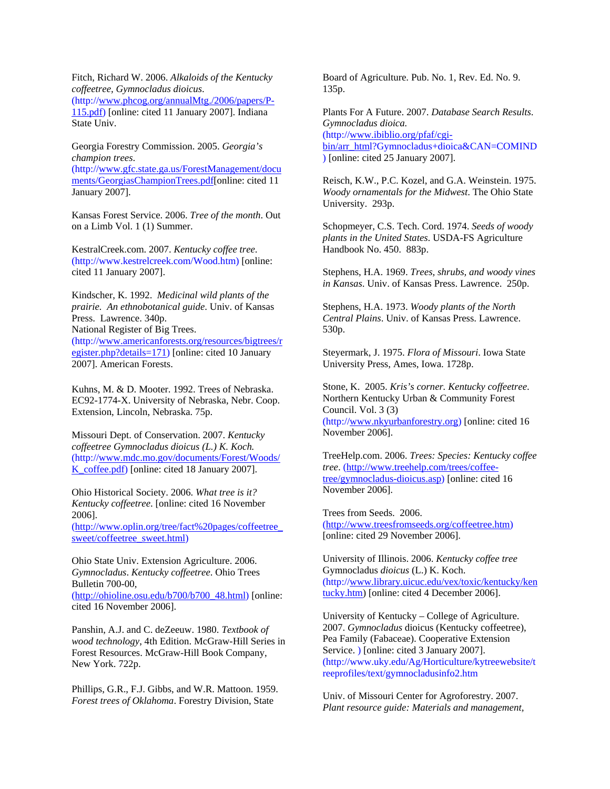Fitch, Richard W. 2006. *Alkaloids of the Kentucky coffeetree, Gymnocladus dioicus*. (http:/[/www.phcog.org/annualMtg./2006/papers/P-](http://www.phcog.org/annualMtg./2006/papers/P-115.pdf)[115.pdf\)](http://www.phcog.org/annualMtg./2006/papers/P-115.pdf) [online: cited 11 January 2007]. Indiana State Univ.

Georgia Forestry Commission. 2005. *Georgia's champion trees*. (http:/[/www.gfc.state.ga.us/ForestManagement/docu](http://www.gfc.state.ga.us/ForestManagement/documents/GeorgiasChampionTrees.pdf) [ments/GeorgiasChampionTrees.pdf\[](http://www.gfc.state.ga.us/ForestManagement/documents/GeorgiasChampionTrees.pdf)online: cited 11 January 2007].

Kansas Forest Service. 2006. *Tree of the month*. Out on a Limb Vol. 1 (1) Summer.

KestralCreek.com. 2007. *Kentucky coffee tree*. (http://www.kestrelcreek.com/Wood.htm) [online: cited 11 January 2007].

Kindscher, K. 1992. *Medicinal wild plants of the prairie. An ethnobotanical guide*. Univ. of Kansas Press. Lawrence. 340p. National Register of Big Trees. (http:/[/www.americanforests.org/resources/bigtrees/r](http://www.americanforests.org/resources/bigtrees/register.php?details=171%20%5Bonline) [egister.php?details=171\) \[online:](http://www.americanforests.org/resources/bigtrees/register.php?details=171%20%5Bonline) cited 10 January 2007]. American Forests.

Kuhns, M. & D. Mooter. 1992. Trees of Nebraska. EC92-1774-X. University of Nebraska, Nebr. Coop. Extension, Lincoln, Nebraska. 75p.

Missouri Dept. of Conservation. 2007. *Kentucky coffeetree Gymnocladus dioicus (L.) K. Koch.* (http:/[/www.mdc.mo.gov/documents/Forest/Woods/](http://www.mdc.mo.gov/documents/Forest/Woods/K_coffee.pdf) [K\\_coffee.pdf](http://www.mdc.mo.gov/documents/Forest/Woods/K_coffee.pdf)) [online: cited 18 January 2007].

Ohio Historical Society. 2006. *What tree is it? Kentucky coffeetree*. [online: cited 16 November 2006].

[\(http://www.oplin.org/tree/fact%20pages/coffeetree\\_](http://www.oplin.org/tree/fact%20pages/coffeetree_sweet/coffeetree_sweet.html) [sweet/coffeetree\\_sweet.html](http://www.oplin.org/tree/fact%20pages/coffeetree_sweet/coffeetree_sweet.html))

Ohio State Univ. Extension Agriculture. 2006. *Gymnocladus*. *Kentucky coffeetree*. Ohio Trees Bulletin 700-00, [\(http://ohioline.osu.edu/b700/b700\\_48.html\)](http://ohioline.osu.edu/b700/b700_48.html) [online: cited 16 November 2006].

Panshin, A.J. and C. deZeeuw. 1980. *Textbook of wood technology*, 4th Edition. McGraw-Hill Series in Forest Resources. McGraw-Hill Book Company, New York. 722p.

Phillips, G.R., F.J. Gibbs, and W.R. Mattoon. 1959. *Forest trees of Oklahoma*. Forestry Division, State

Board of Agriculture. Pub. No. 1, Rev. Ed. No. 9. 135p.

Plants For A Future. 2007. *Database Search Results*. *Gymnocladus dioica.*  (http:/[/www.ibiblio.org/pfaf/cgi](http://www.ibiblio.org/pfaf/cgi-bin/arr_htm)[bin/arr\\_htm](http://www.ibiblio.org/pfaf/cgi-bin/arr_htm)l?Gymnocladus+dioica&CAN=COMIND ) [online: cited 25 January 2007].

Reisch, K.W., P.C. Kozel, and G.A. Weinstein. 1975. *Woody ornamentals for the Midwest*. The Ohio State University. 293p.

Schopmeyer, C.S. Tech. Cord. 1974. *Seeds of woody plants in the United States*. USDA-FS Agriculture Handbook No. 450. 883p.

Stephens, H.A. 1969. *Trees, shrubs, and woody vines in Kansas*. Univ. of Kansas Press. Lawrence. 250p.

Stephens, H.A. 1973. *Woody plants of the North Central Plains*. Univ. of Kansas Press. Lawrence. 530p.

Steyermark, J. 1975. *Flora of Missouri*. Iowa State University Press, Ames, Iowa. 1728p.

Stone, K. 2005. *Kris's corner. Kentucky coffeetree*. Northern Kentucky Urban & Community Forest Council. Vol. 3 (3) (http:/[/www.nkyurbanforestry.org](http://www.nkyurbanforestry.org/)) [online: cited 16 November 2006].

TreeHelp.com. 2006. *Trees: Species: Kentucky coffee tree*. ([http://www.treehelp.com/trees/coffee](http://www.treehelp.com/trees/coffee-tree/gymnocladus-dioicus.asp)[tree/gymnocladus-dioicus.asp](http://www.treehelp.com/trees/coffee-tree/gymnocladus-dioicus.asp)) [online: cited 16 November 2006].

Trees from Seeds. 2006. [\(http://www.treesfromseeds.org/coffeetree.htm\)](http://www.treesfromseeds.org/coffeetree.htm) [online: cited 29 November 2006].

University of Illinois. 2006. *Kentucky coffee tree* Gymnocladus *dioicus* (L.) K. Koch. (http:/[/www.library.uicuc.edu/vex/toxic/kentucky/ken](http://www.library.uicuc.edu/vex/toxic/kentucky/kentucky.htm) [tucky.htm](http://www.library.uicuc.edu/vex/toxic/kentucky/kentucky.htm)) [online: cited 4 December 2006].

University of Kentucky – College of Agriculture. 2007. *Gymnocladus* dioicus (Kentucky coffeetree), Pea Family (Fabaceae). Cooperative Extension Service. ) [online: cited 3 January 2007]. (http://www.uky.edu/Ag/Horticulture/kytreewebsite/t reeprofiles/text/gymnocladusinfo2.htm

Univ. of Missouri Center for Agroforestry. 2007. *Plant resource guide: Materials and management,*